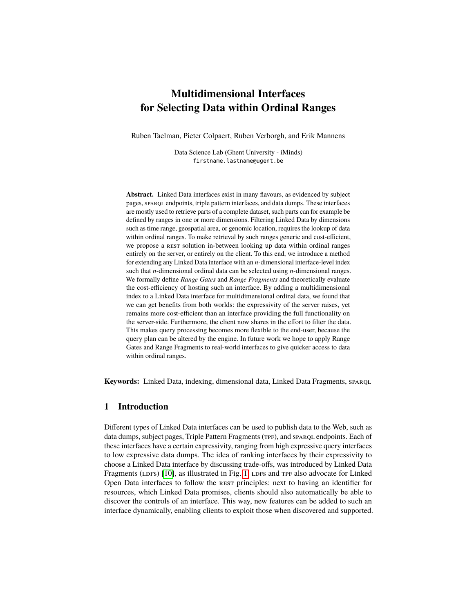# **Multidimensional Interfaces for Selecting Data within Ordinal Ranges**

Ruben Taelman, Pieter Colpaert, Ruben Verborgh, and Erik Mannens

Data Science Lab (Ghent University - iMinds) firstname.lastname@ugent.be

**Abstract.** Linked Data interfaces exist in many flavours, as evidenced by subject pages, sparqu endpoints, triple pattern interfaces, and data dumps. These interfaces are mostly used to retrieve parts of a complete dataset, such parts can for example be defined by ranges in one or more dimensions. Filtering Linked Data by dimensions such as time range, geospatial area, or genomic location, requires the lookup of data within ordinal ranges. To make retrieval by such ranges generic and cost-efficient, we propose a REST solution in-between looking up data within ordinal ranges entirely on the server, or entirely on the client. To this end, we introduce a method for extending any Linked Data interface with an *n*-dimensional interface-level index such that *n*-dimensional ordinal data can be selected using *n*-dimensional ranges. We formally define *Range Gates* and *Range Fragments* and theoretically evaluate the cost-efficiency of hosting such an interface. By adding a multidimensional index to a Linked Data interface for multidimensional ordinal data, we found that we can get benefits from both worlds: the expressivity of the server raises, yet remains more cost-efficient than an interface providing the full functionality on the server-side. Furthermore, the client now shares in the effort to filter the data. This makes query processing becomes more flexible to the end-user, because the query plan can be altered by the engine. In future work we hope to apply Range Gates and Range Fragments to real-world interfaces to give quicker access to data within ordinal ranges.

**Keywords:** Linked Data, indexing, dimensional data, Linked Data Fragments, sparql

# **1 Introduction**

Different types of Linked Data interfaces can be used to publish data to the Web, such as data dumps, subject pages, Triple Pattern Fragments (TPF), and sparsol endpoints. Each of these interfaces have a certain expressivity, ranging from high expressive query interfaces to low expressive data dumps. The idea of ranking interfaces by their expressivity to choose a Linked Data interface by discussing trade-offs, was introduced by Linked Data Fragments (LDFs)  $[10]$ , as illustrated in Fig. [1.](#page-1-0) LDFs and TPF also advocate for Linked Open Data interfaces to follow the rest principles: next to having an identifier for resources, which Linked Data promises, clients should also automatically be able to discover the controls of an interface. This way, new features can be added to such an interface dynamically, enabling clients to exploit those when discovered and supported.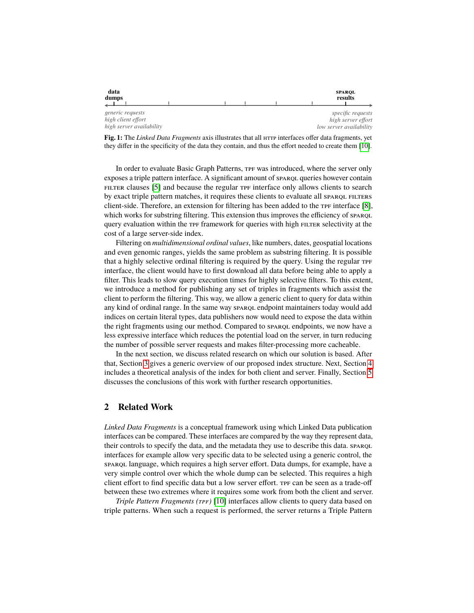<span id="page-1-0"></span>

| data<br>dumps            |  |  | <b>SPAROL</b><br>results |
|--------------------------|--|--|--------------------------|
| generic requests         |  |  | specific requests        |
| high client effort       |  |  | high server effort       |
| high server availability |  |  | low server availability  |

**Fig. 1:** The *Linked Data Fragments* axis illustrates that all HTTP interfaces offer data fragments, yet they differ in the specificity of the data they contain, and thus the effort needed to create them [\[10\]](#page-11-0).

In order to evaluate Basic Graph Patterns, TPF was introduced, where the server only exposes a triple pattern interface. A significant amount of sparqu queries however contain FILTER clauses [\[5\]](#page-11-1) and because the regular TPF interface only allows clients to search by exact triple pattern matches, it requires these clients to evaluate all spart filters client-side. Therefore, an extension for filtering has been added to the  $\text{TP}$  interface [\[8\]](#page-11-2), which works for substring filtering. This extension thus improves the efficiency of sparque query evaluation within the TPF framework for queries with high FILTER selectivity at the cost of a large server-side index.

Filtering on *multidimensional ordinal values*, like numbers, dates, geospatial locations and even genomic ranges, yields the same problem as substring filtering. It is possible that a highly selective ordinal filtering is required by the query. Using the regular tpf interface, the client would have to first download all data before being able to apply a filter. This leads to slow query execution times for highly selective filters. To this extent, we introduce a method for publishing any set of triples in fragments which assist the client to perform the filtering. This way, we allow a generic client to query for data within any kind of ordinal range. In the same way spart endpoint maintainers today would add indices on certain literal types, data publishers now would need to expose the data within the right fragments using our method. Compared to spare endpoints, we now have a less expressive interface which reduces the potential load on the server, in turn reducing the number of possible server requests and makes filter-processing more cacheable.

In the next section, we discuss related research on which our solution is based. After that, Section [3](#page-2-0) gives a generic overview of our proposed index structure. Next, Section [4](#page-6-0) includes a theoretical analysis of the index for both client and server. Finally, Section [5](#page-9-0) discusses the conclusions of this work with further research opportunities.

# **2 Related Work**

*Linked Data Fragments* is a conceptual framework using which Linked Data publication interfaces can be compared. These interfaces are compared by the way they represent data, their controls to specify the data, and the metadata they use to describe this data. sparql interfaces for example allow very specific data to be selected using a generic control, the sparqu language, which requires a high server effort. Data dumps, for example, have a very simple control over which the whole dump can be selected. This requires a high client effort to find specific data but a low server effort. The can be seen as a trade-off between these two extremes where it requires some work from both the client and server.

*Triple Pattern Fragments (TPF)* [\[10\]](#page-11-0) interfaces allow clients to query data based on triple patterns. When such a request is performed, the server returns a Triple Pattern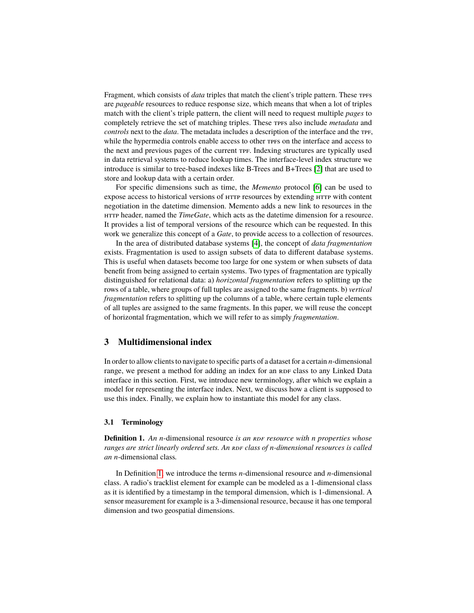Fragment, which consists of *data* triples that match the client's triple pattern. These TPFS are *pageable* resources to reduce response size, which means that when a lot of triples match with the client's triple pattern, the client will need to request multiple *pages* to completely retrieve the set of matching triples. These TPFs also include *metadata* and *controls* next to the *data*. The metadata includes a description of the interface and the TPF, while the hypermedia controls enable access to other  $TFs$  on the interface and access to the next and previous pages of the current tpf. Indexing structures are typically used in data retrieval systems to reduce lookup times. The interface-level index structure we introduce is similar to tree-based indexes like B-Trees and B+Trees [\[2\]](#page-11-3) that are used to store and lookup data with a certain order.

For specific dimensions such as time, the *Memento* protocol [\[6\]](#page-11-4) can be used to expose access to historical versions of  $HTTP$  resources by extending  $HTTP$  with content negotiation in the datetime dimension. Memento adds a new link to resources in the http header, named the *TimeGate*, which acts as the datetime dimension for a resource. It provides a list of temporal versions of the resource which can be requested. In this work we generalize this concept of a *Gate*, to provide access to a collection of resources.

In the area of distributed database systems [\[4\]](#page-11-5), the concept of *data fragmentation* exists. Fragmentation is used to assign subsets of data to different database systems. This is useful when datasets become too large for one system or when subsets of data benefit from being assigned to certain systems. Two types of fragmentation are typically distinguished for relational data: a) *horizontal fragmentation* refers to splitting up the rows of a table, where groups of full tuples are assigned to the same fragments. b) *vertical fragmentation* refers to splitting up the columns of a table, where certain tuple elements of all tuples are assigned to the same fragments. In this paper, we will reuse the concept of horizontal fragmentation, which we will refer to as simply *fragmentation*.

# <span id="page-2-0"></span>**3 Multidimensional index**

In order to allow clients to navigate to specific parts of a dataset for a certain *n*-dimensional range, we present a method for adding an index for an RDF class to any Linked Data interface in this section. First, we introduce new terminology, after which we explain a model for representing the interface index. Next, we discuss how a client is supposed to use this index. Finally, we explain how to instantiate this model for any class.

### **3.1 Terminology**

<span id="page-2-1"></span>**Definition 1.** An *n*-dimensional resource *is an RDF resource with n properties whose ranges are strict linearly ordered sets. An RDF class of <i>n*-dimensional resources is called *an n*-dimensional class*.*

In Definition [1,](#page-2-1) we introduce the terms *n*-dimensional resource and *n*-dimensional class. A radio's tracklist element for example can be modeled as a 1-dimensional class as it is identified by a timestamp in the temporal dimension, which is 1-dimensional. A sensor measurement for example is a 3-dimensional resource, because it has one temporal dimension and two geospatial dimensions.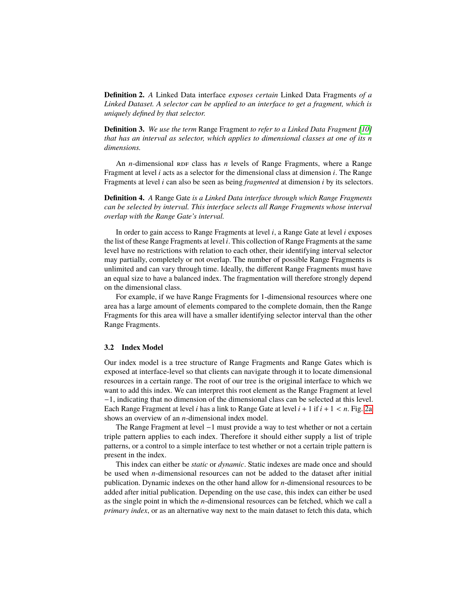**Definition 2.** *A* Linked Data interface *exposes certain* Linked Data Fragments *of a Linked Dataset. A selector can be applied to an interface to get a fragment, which is uniquely defined by that selector.*

**Definition 3.** *We use the term* Range Fragment *to refer to a Linked Data Fragment [\[10\]](#page-11-0) that has an interval as selector, which applies to dimensional classes at one of its n dimensions.*

An *n*-dimensional RDF class has *n* levels of Range Fragments, where a Range Fragment at level *i* acts as a selector for the dimensional class at dimension *i*. The Range Fragments at level *i* can also be seen as being *fragmented* at dimension *i* by its selectors.

**Definition 4.** *A* Range Gate *is a Linked Data interface through which Range Fragments can be selected by interval. This interface selects all Range Fragments whose interval overlap with the Range Gate's interval.*

In order to gain access to Range Fragments at level *i*, a Range Gate at level *i* exposes the list of these Range Fragments at level *i*. This collection of Range Fragments at the same level have no restrictions with relation to each other, their identifying interval selector may partially, completely or not overlap. The number of possible Range Fragments is unlimited and can vary through time. Ideally, the different Range Fragments must have an equal size to have a balanced index. The fragmentation will therefore strongly depend on the dimensional class.

For example, if we have Range Fragments for 1-dimensional resources where one area has a large amount of elements compared to the complete domain, then the Range Fragments for this area will have a smaller identifying selector interval than the other Range Fragments.

### **3.2 Index Model**

Our index model is a tree structure of Range Fragments and Range Gates which is exposed at interface-level so that clients can navigate through it to locate dimensional resources in a certain range. The root of our tree is the original interface to which we want to add this index. We can interpret this root element as the Range Fragment at level −1, indicating that no dimension of the dimensional class can be selected at this level. Each Range Fragment at level *<sup>i</sup>* has a link to Range Gate at level *<sup>i</sup>* <sup>+</sup> <sup>1</sup> if *<sup>i</sup>* <sup>+</sup> <sup>1</sup> < *<sup>n</sup>*. Fig. [2a](#page-4-0) shows an overview of an *n*-dimensional index model.

The Range Fragment at level −1 must provide a way to test whether or not a certain triple pattern applies to each index. Therefore it should either supply a list of triple patterns, or a control to a simple interface to test whether or not a certain triple pattern is present in the index.

This index can either be *static* or *dynamic*. Static indexes are made once and should be used when *n*-dimensional resources can not be added to the dataset after initial publication. Dynamic indexes on the other hand allow for *n*-dimensional resources to be added after initial publication. Depending on the use case, this index can either be used as the single point in which the *n*-dimensional resources can be fetched, which we call a *primary index*, or as an alternative way next to the main dataset to fetch this data, which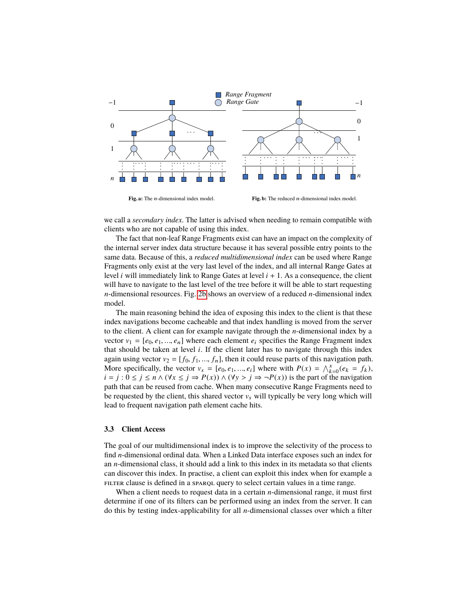<span id="page-4-0"></span>

we call a *secondary index*. The latter is advised when needing to remain compatible with clients who are not capable of using this index.

The fact that non-leaf Range Fragments exist can have an impact on the complexity of the internal server index data structure because it has several possible entry points to the same data. Because of this, a *reduced multidimensional index* can be used where Range Fragments only exist at the very last level of the index, and all internal Range Gates at level *i* will immediately link to Range Gates at level  $i + 1$ . As a consequence, the client will have to navigate to the last level of the tree before it will be able to start requesting *n*-dimensional resources. Fig. [2b](#page-4-0) shows an overview of a reduced *n*-dimensional index model.

The main reasoning behind the idea of exposing this index to the client is that these index navigations become cacheable and that index handling is moved from the server to the client. A client can for example navigate through the *n*-dimensional index by a vector  $v_1 = [e_0, e_1, ..., e_n]$  where each element  $e_i$  specifies the Range Fragment index that should be taken at level *i*. If the client later has to navigate through this index again using vector  $v_2 = [f_0, f_1, ..., f_n]$ , then it could reuse parts of this navigation path. More specifically, the vector  $v_s = [e_0, e_1, ..., e_i]$  where with  $P(x) = \bigwedge_{k=0}^{x} (e_k = f_k),$ <br>  $i = i : 0 \le i \le n \land (y_k \le i \to P(x)) \land (y_k \le i \to P(y))$  is the part of the navigation *i* = *j* :  $0 \le j \le n \land (\forall x \le j \Rightarrow P(x)) \land (\forall y > j \Rightarrow \neg P(x))$  is the part of the navigation path that can be reused from cache. When many consecutive Range Fragments need to be requested by the client, this shared vector  $v_s$  will typically be very long which will lead to frequent navigation path element cache hits.

### **3.3 Client Access**

The goal of our multidimensional index is to improve the selectivity of the process to find *n*-dimensional ordinal data. When a Linked Data interface exposes such an index for an *n*-dimensional class, it should add a link to this index in its metadata so that clients can discover this index. In practise, a client can exploit this index when for example a FILTER clause is defined in a sparque query to select certain values in a time range.

When a client needs to request data in a certain *n*-dimensional range, it must first determine if one of its filters can be performed using an index from the server. It can do this by testing index-applicability for all *n*-dimensional classes over which a filter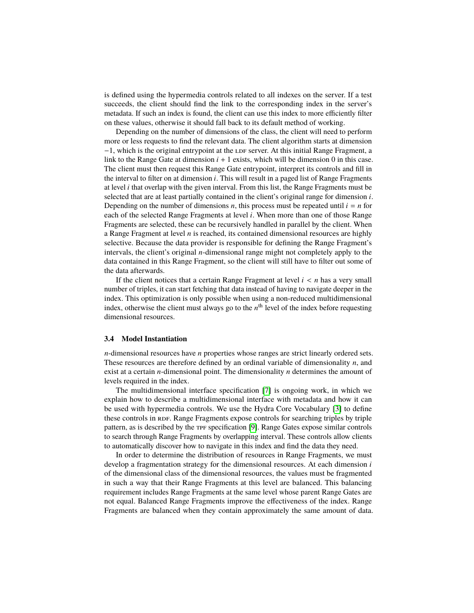is defined using the hypermedia controls related to all indexes on the server. If a test succeeds, the client should find the link to the corresponding index in the server's metadata. If such an index is found, the client can use this index to more efficiently filter on these values, otherwise it should fall back to its default method of working.

Depending on the number of dimensions of the class, the client will need to perform more or less requests to find the relevant data. The client algorithm starts at dimension  $-1$ , which is the original entrypoint at the LDF server. At this initial Range Fragment, a link to the Range Gate at dimension  $i + 1$  exists, which will be dimension 0 in this case. The client must then request this Range Gate entrypoint, interpret its controls and fill in the interval to filter on at dimension *i*. This will result in a paged list of Range Fragments at level *i* that overlap with the given interval. From this list, the Range Fragments must be selected that are at least partially contained in the client's original range for dimension *i*. Depending on the number of dimensions *n*, this process must be repeated until  $i = n$  for each of the selected Range Fragments at level *i*. When more than one of those Range Fragments are selected, these can be recursively handled in parallel by the client. When a Range Fragment at level *n* is reached, its contained dimensional resources are highly selective. Because the data provider is responsible for defining the Range Fragment's intervals, the client's original *n*-dimensional range might not completely apply to the data contained in this Range Fragment, so the client will still have to filter out some of the data afterwards.

If the client notices that a certain Range Fragment at level *<sup>i</sup>* < *<sup>n</sup>* has a very small number of triples, it can start fetching that data instead of having to navigate deeper in the index. This optimization is only possible when using a non-reduced multidimensional index, otherwise the client must always go to the  $n<sup>th</sup>$  level of the index before requesting dimensional resources.

#### <span id="page-5-0"></span>**3.4 Model Instantiation**

*n*-dimensional resources have *n* properties whose ranges are strict linearly ordered sets. These resources are therefore defined by an ordinal variable of dimensionality *n*, and exist at a certain *n*-dimensional point. The dimensionality *n* determines the amount of levels required in the index.

The multidimensional interface specification [\[7\]](#page-11-6) is ongoing work, in which we explain how to describe a multidimensional interface with metadata and how it can be used with hypermedia controls. We use the Hydra Core Vocabulary [\[3\]](#page-11-7) to define these controls in RDF. Range Fragments expose controls for searching triples by triple pattern, as is described by the TPF specification [\[9\]](#page-11-8). Range Gates expose similar controls to search through Range Fragments by overlapping interval. These controls allow clients to automatically discover how to navigate in this index and find the data they need.

In order to determine the distribution of resources in Range Fragments, we must develop a fragmentation strategy for the dimensional resources. At each dimension *i* of the dimensional class of the dimensional resources, the values must be fragmented in such a way that their Range Fragments at this level are balanced. This balancing requirement includes Range Fragments at the same level whose parent Range Gates are not equal. Balanced Range Fragments improve the effectiveness of the index. Range Fragments are balanced when they contain approximately the same amount of data.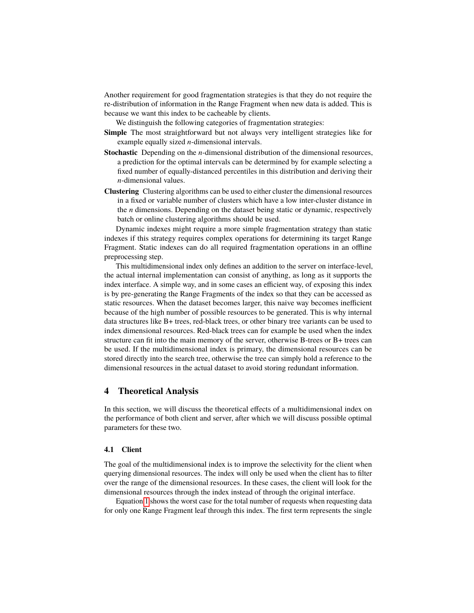Another requirement for good fragmentation strategies is that they do not require the re-distribution of information in the Range Fragment when new data is added. This is because we want this index to be cacheable by clients.

We distinguish the following categories of fragmentation strategies:

- **Simple** The most straightforward but not always very intelligent strategies like for example equally sized *n*-dimensional intervals.
- **Stochastic** Depending on the *n*-dimensional distribution of the dimensional resources, a prediction for the optimal intervals can be determined by for example selecting a fixed number of equally-distanced percentiles in this distribution and deriving their *n*-dimensional values.
- **Clustering** Clustering algorithms can be used to either cluster the dimensional resources in a fixed or variable number of clusters which have a low inter-cluster distance in the *n* dimensions. Depending on the dataset being static or dynamic, respectively batch or online clustering algorithms should be used.

Dynamic indexes might require a more simple fragmentation strategy than static indexes if this strategy requires complex operations for determining its target Range Fragment. Static indexes can do all required fragmentation operations in an offline preprocessing step.

This multidimensional index only defines an addition to the server on interface-level, the actual internal implementation can consist of anything, as long as it supports the index interface. A simple way, and in some cases an efficient way, of exposing this index is by pre-generating the Range Fragments of the index so that they can be accessed as static resources. When the dataset becomes larger, this naive way becomes inefficient because of the high number of possible resources to be generated. This is why internal data structures like B+ trees, red-black trees, or other binary tree variants can be used to index dimensional resources. Red-black trees can for example be used when the index structure can fit into the main memory of the server, otherwise B-trees or B+ trees can be used. If the multidimensional index is primary, the dimensional resources can be stored directly into the search tree, otherwise the tree can simply hold a reference to the dimensional resources in the actual dataset to avoid storing redundant information.

# <span id="page-6-0"></span>**4 Theoretical Analysis**

In this section, we will discuss the theoretical effects of a multidimensional index on the performance of both client and server, after which we will discuss possible optimal parameters for these two.

#### **4.1 Client**

The goal of the multidimensional index is to improve the selectivity for the client when querying dimensional resources. The index will only be used when the client has to filter over the range of the dimensional resources. In these cases, the client will look for the dimensional resources through the index instead of through the original interface.

Equation [1](#page-7-0) shows the worst case for the total number of requests when requesting data for only one Range Fragment leaf through this index. The first term represents the single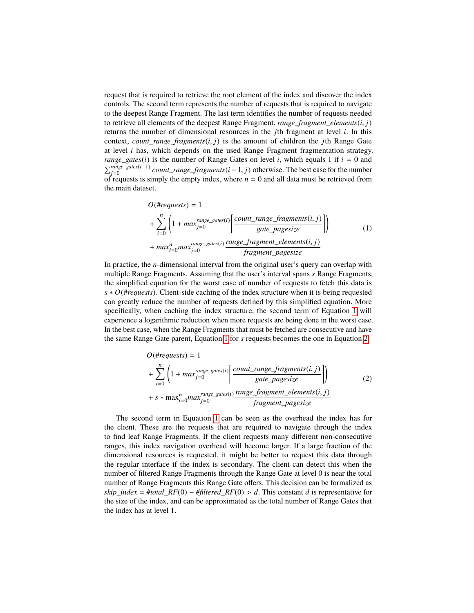request that is required to retrieve the root element of the index and discover the index controls. The second term represents the number of requests that is required to navigate to the deepest Range Fragment. The last term identifies the number of requests needed to retrieve all elements of the deepest Range Fragment. *range\_fragment\_elements*(*i*, *<sup>j</sup>*) returns the number of dimensional resources in the *j*th fragment at level *i*. In this context, *count\_range\_fragments*(*i*, *<sup>j</sup>*) is the amount of children the *<sup>j</sup>*th Range Gate at level *i* has, which depends on the used Range Fragment fragmentation strategy. *range\_gates*(*i*) is the number of Range Gates on level *i*, which equals 1 if  $i = 0$  and  $\sum_{j=0}^{range\_gates(i-1)}$  count\_range\_fragments(*i* − 1, *j*) otherwise. The best case for the number<br>of requests is simply the empty index, where  $n = 0$  and all data must be retrieved from of requests is simply the empty index, where  $n = 0$  and all data must be retrieved from the main dataset.

<span id="page-7-0"></span>
$$
O(\# requests) = 1
$$
  
+ 
$$
\sum_{i=0}^{n} \left(1 + \max_{j=0}^{range\_gates(i)} \left\lfloor \frac{count\_range\_fragments(i, j)}{gate\_pagesize} \right\rfloor \right)
$$
  
+ 
$$
\max_{i=0}^{n} \max_{j=0}^{range\_gates(i)} \frac{range\_fragment\_elements(i, j)}{fragment\_pagesize}
$$
 (1)

In practice, the *n*-dimensional interval from the original user's query can overlap with multiple Range Fragments. Assuming that the user's interval spans *s* Range Fragments, the simplified equation for the worst case of number of requests to fetch this data is *s* ∗ *O*(#*requests*). Client-side caching of the index structure when it is being requested can greatly reduce the number of requests defined by this simplified equation. More specifically, when caching the index structure, the second term of Equation [1](#page-7-0) will experience a logarithmic reduction when more requests are being done in the worst case. In the best case, when the Range Fragments that must be fetched are consecutive and have the same Range Gate parent, Equation [1](#page-7-0) for *s* requests becomes the one in Equation [2.](#page-7-1)

<span id="page-7-1"></span>
$$
O(\# requests) = 1
$$
  
+ 
$$
\sum_{i=0}^{n} \left(1 + \max_{j=0}^{range\_gates(i)} \left[ \frac{count\_range\_fragments(i, j)}{gate\_pagesize} \right] \right)
$$
  
+ 
$$
s * \max_{i=0}^{n} \max_{j=0}^{range\_gates(i)} \frac{range\_fragment\_elements(i, j)}{fragment\_pagesize}
$$
 (2)

The second term in Equation [1](#page-7-0) can be seen as the overhead the index has for the client. These are the requests that are required to navigate through the index to find leaf Range Fragments. If the client requests many different non-consecutive ranges, this index navigation overhead will become larger. If a large fraction of the dimensional resources is requested, it might be better to request this data through the regular interface if the index is secondary. The client can detect this when the number of filtered Range Fragments through the Range Gate at level 0 is near the total number of Range Fragments this Range Gate offers. This decision can be formalized as *skip\_index* = *#total\_RF*(0) – *#filtered\_RF*(0) > *d*. This constant *d* is representative for the size of the index, and can be approximated as the total number of Range Gates that the index has at level 1.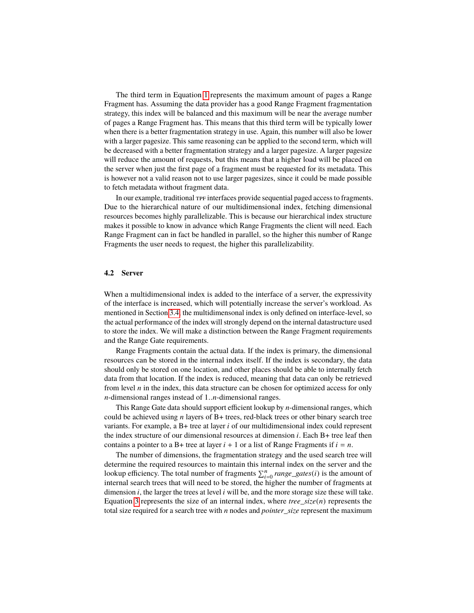The third term in Equation [1](#page-7-0) represents the maximum amount of pages a Range Fragment has. Assuming the data provider has a good Range Fragment fragmentation strategy, this index will be balanced and this maximum will be near the average number of pages a Range Fragment has. This means that this third term will be typically lower when there is a better fragmentation strategy in use. Again, this number will also be lower with a larger pagesize. This same reasoning can be applied to the second term, which will be decreased with a better fragmentation strategy and a larger pagesize. A larger pagesize will reduce the amount of requests, but this means that a higher load will be placed on the server when just the first page of a fragment must be requested for its metadata. This is however not a valid reason not to use larger pagesizes, since it could be made possible to fetch metadata without fragment data.

In our example, traditional  $TF$  interfaces provide sequential paged access to fragments. Due to the hierarchical nature of our multidimensional index, fetching dimensional resources becomes highly parallelizable. This is because our hierarchical index structure makes it possible to know in advance which Range Fragments the client will need. Each Range Fragment can in fact be handled in parallel, so the higher this number of Range Fragments the user needs to request, the higher this parallelizability.

### **4.2 Server**

When a multidimensional index is added to the interface of a server, the expressivity of the interface is increased, which will potentially increase the server's workload. As mentioned in Section [3.4,](#page-5-0) the multidimensonal index is only defined on interface-level, so the actual performance of the index will strongly depend on the internal datastructure used to store the index. We will make a distinction between the Range Fragment requirements and the Range Gate requirements.

Range Fragments contain the actual data. If the index is primary, the dimensional resources can be stored in the internal index itself. If the index is secondary, the data should only be stored on one location, and other places should be able to internally fetch data from that location. If the index is reduced, meaning that data can only be retrieved from level *n* in the index, this data structure can be chosen for optimized access for only *<sup>n</sup>*-dimensional ranges instead of <sup>1</sup>..*n*-dimensional ranges.

This Range Gate data should support efficient lookup by *n*-dimensional ranges, which could be achieved using *n* layers of B+ trees, red-black trees or other binary search tree variants. For example, a B+ tree at layer *i* of our multidimensional index could represent the index structure of our dimensional resources at dimension *i*. Each B+ tree leaf then contains a pointer to a B+ tree at layer  $i + 1$  or a list of Range Fragments if  $i = n$ .

The number of dimensions, the fragmentation strategy and the used search tree will determine the required resources to maintain this internal index on the server and the lookup efficiency. The total number of fragments  $\sum_{i=0}^{n} range\_gates(i)$  is the amount of internal search trees that will need to be stored, the higher the number of fragments at dimension *i*, the larger the trees at level *i* will be, and the more storage size these will take. Equation [3](#page-9-1) represents the size of an internal index, where  $tree\_size(n)$  represents the total size required for a search tree with *n* nodes and *pointer\_size* represent the maximum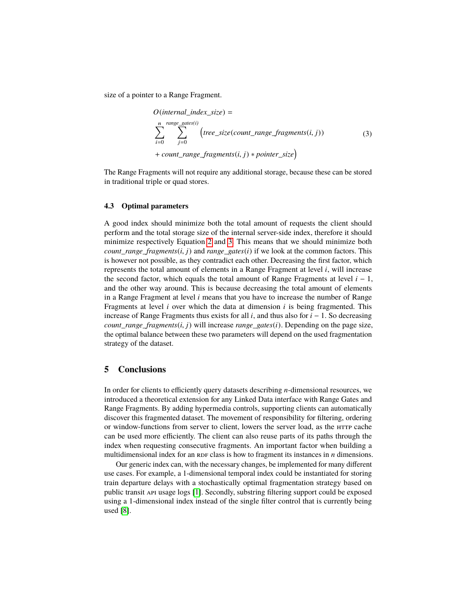size of a pointer to a Range Fragment.

<span id="page-9-1"></span>
$$
O(internal\_index\_size) =
$$
\n
$$
\sum_{i=0}^{n} \sum_{j=0}^{range\_gates(i)} (tree\_size(count\_range\_fragments(i, j))
$$
\n
$$
+ count\_range\_fragments(i, j) * pointer\_size)
$$
\n(3)

The Range Fragments will not require any additional storage, because these can be stored in traditional triple or quad stores.

### **4.3 Optimal parameters**

A good index should minimize both the total amount of requests the client should perform and the total storage size of the internal server-side index, therefore it should minimize respectively Equation [2](#page-7-1) and [3.](#page-9-1) This means that we should minimize both *count range fragments* $(i, j)$  and *range gates* $(i)$  if we look at the common factors. This is however not possible, as they contradict each other. Decreasing the first factor, which represents the total amount of elements in a Range Fragment at level *i*, will increase the second factor, which equals the total amount of Range Fragments at level *i* − 1, and the other way around. This is because decreasing the total amount of elements in a Range Fragment at level *i* means that you have to increase the number of Range Fragments at level *i* over which the data at dimension *i* is being fragmented. This increase of Range Fragments thus exists for all *i*, and thus also for *i* − 1. So decreasing *count range fragments* $(i, j)$  will increase *range gates* $(i)$ . Depending on the page size, the optimal balance between these two parameters will depend on the used fragmentation strategy of the dataset.

## <span id="page-9-0"></span>**5 Conclusions**

In order for clients to efficiently query datasets describing *n*-dimensional resources, we introduced a theoretical extension for any Linked Data interface with Range Gates and Range Fragments. By adding hypermedia controls, supporting clients can automatically discover this fragmented dataset. The movement of responsibility for filtering, ordering or window-functions from server to client, lowers the server load, as the http cache can be used more efficiently. The client can also reuse parts of its paths through the index when requesting consecutive fragments. An important factor when building a multidimensional index for an RDF class is how to fragment its instances in  $n$  dimensions.

Our generic index can, with the necessary changes, be implemented for many different use cases. For example, a 1-dimensional temporal index could be instantiated for storing train departure delays with a stochastically optimal fragmentation strategy based on public transit api usage logs [\[1\]](#page-11-9). Secondly, substring filtering support could be exposed using a 1-dimensional index instead of the single filter control that is currently being used [\[8\]](#page-11-2).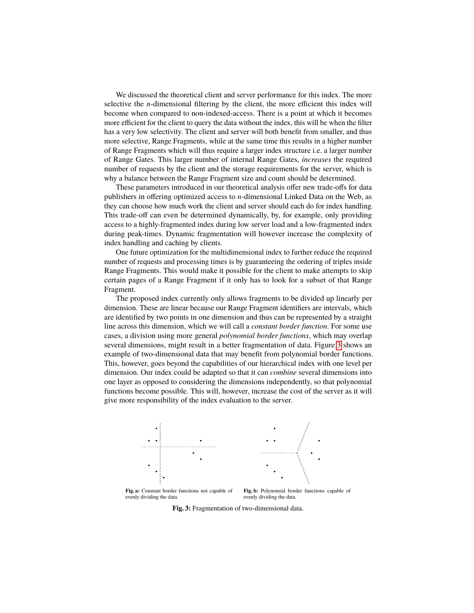We discussed the theoretical client and server performance for this index. The more selective the *n*-dimensional filtering by the client, the more efficient this index will become when compared to non-indexed-access. There is a point at which it becomes more efficient for the client to query the data without the index, this will be when the filter has a very low selectivity. The client and server will both benefit from smaller, and thus more selective, Range Fragments, while at the same time this results in a higher number of Range Fragments which will thus require a larger index structure i.e. a larger number of Range Gates. This larger number of internal Range Gates, *increases* the required number of requests by the client and the storage requirements for the server, which is why a balance between the Range Fragment size and count should be determined.

These parameters introduced in our theoretical analysis offer new trade-offs for data publishers in offering optimized access to *n*-dimensional Linked Data on the Web, as they can choose how much work the client and server should each do for index handling. This trade-off can even be determined dynamically, by, for example, only providing access to a highly-fragmented index during low server load and a low-fragmented index during peak-times. Dynamic fragmentation will however increase the complexity of index handling and caching by clients.

One future optimization for the multidimensional index to further reduce the required number of requests and processing times is by guaranteeing the ordering of triples inside Range Fragments. This would make it possible for the client to make attempts to skip certain pages of a Range Fragment if it only has to look for a subset of that Range Fragment.

The proposed index currently only allows fragments to be divided up linearly per dimension. These are linear because our Range Fragment identifiers are intervals, which are identified by two points in one dimension and thus can be represented by a straight line across this dimension, which we will call a *constant border function*. For some use cases, a division using more general *polynomial border functions*, which may overlap several dimensions, might result in a better fragmentation of data. Figure [3](#page-10-0) shows an example of two-dimensional data that may benefit from polynomial border functions. This, however, goes beyond the capabilities of our hierarchical index with one level per dimension. Our index could be adapted so that it can *combine* several dimensions into one layer as opposed to considering the dimensions independently, so that polynomial functions become possible. This will, however, increase the cost of the server as it will give more responsibility of the index evaluation to the server.

<span id="page-10-0"></span>

**Fig. 3:** Fragmentation of two-dimensional data.